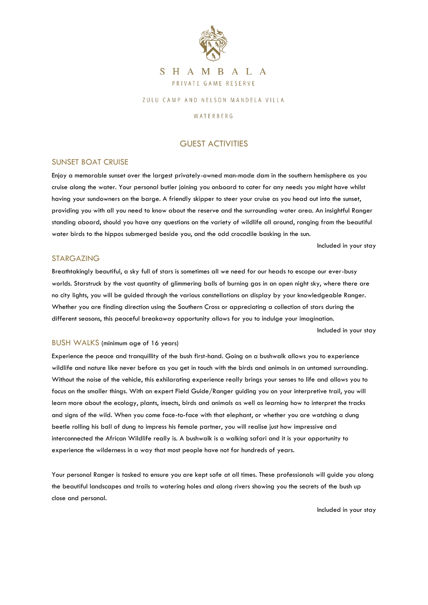

# SHAMBALA PRIVATE GAME RESERVE

### ZULU CAMP AND NELSON MANDELA VILLA

### WATERBERG

## GUEST ACTIVITIES

### SUNSET BOAT CRUISE

Enjoy a memorable sunset over the largest privately-owned man-made dam in the southern hemisphere as you cruise along the water. Your personal butler joining you onboard to cater for any needs you might have whilst having your sundowners on the barge. A friendly skipper to steer your cruise as you head out into the sunset, providing you with all you need to know about the reserve and the surrounding water area. An insightful Ranger standing aboard, should you have any questions on the variety of wildlife all around, ranging from the beautiful water birds to the hippos submerged beside you, and the odd crocodile basking in the sun.

Included in your stay

### STARGAZING

Breathtakingly beautiful, a sky full of stars is sometimes all we need for our heads to escape our ever-busy worlds. Starstruck by the vast quantity of glimmering balls of burning gas in an open night sky, where there are no city lights, you will be guided through the various constellations on display by your knowledgeable Ranger. Whether you are finding direction using the Southern Cross or appreciating a collection of stars during the different seasons, this peaceful breakaway opportunity allows for you to indulge your imagination.

Included in your stay

### BUSH WALKS (minimum age of 16 years)

Experience the peace and tranquillity of the bush first-hand. Going on a bushwalk allows you to experience wildlife and nature like never before as you get in touch with the birds and animals in an untamed surrounding. Without the noise of the vehicle, this exhilarating experience really brings your senses to life and allows you to focus on the smaller things. With an expert Field Guide/Ranger guiding you on your interpretive trail, you will learn more about the ecology, plants, insects, birds and animals as well as learning how to interpret the tracks and signs of the wild. When you come face-to-face with that elephant, or whether you are watching a dung beetle rolling his ball of dung to impress his female partner, you will realise just how impressive and interconnected the African Wildlife really is. A bushwalk is a walking safari and it is your opportunity to experience the wilderness in a way that most people have not for hundreds of years.

Your personal Ranger is tasked to ensure you are kept safe at all times. These professionals will guide you along the beautiful landscapes and trails to watering holes and along rivers showing you the secrets of the bush up close and personal.

Included in your stay